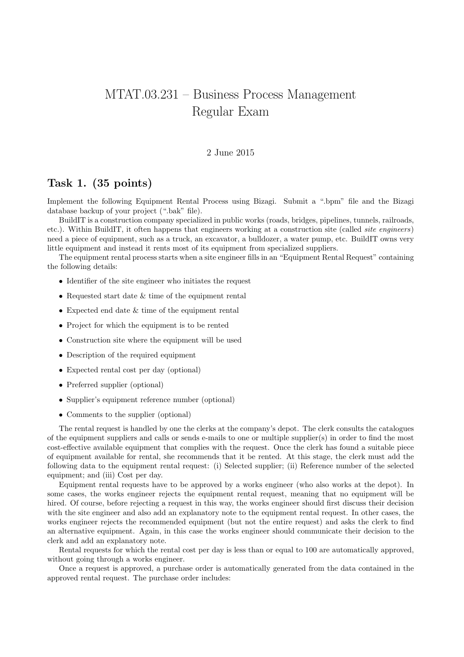## MTAT.03.231 – Business Process Management Regular Exam

## 2 June 2015

## Task 1. (35 points)

Implement the following Equipment Rental Process using Bizagi. Submit a ".bpm" file and the Bizagi database backup of your project (".bak" file).

BuildIT is a construction company specialized in public works (roads, bridges, pipelines, tunnels, railroads, etc.). Within BuildIT, it often happens that engineers working at a construction site (called site engineers) need a piece of equipment, such as a truck, an excavator, a bulldozer, a water pump, etc. BuildIT owns very little equipment and instead it rents most of its equipment from specialized suppliers.

The equipment rental process starts when a site engineer fills in an "Equipment Rental Request" containing the following details:

- Identifier of the site engineer who initiates the request
- Requested start date & time of the equipment rental
- Expected end date & time of the equipment rental
- Project for which the equipment is to be rented
- Construction site where the equipment will be used
- Description of the required equipment
- Expected rental cost per day (optional)
- Preferred supplier (optional)
- Supplier's equipment reference number (optional)
- Comments to the supplier (optional)

The rental request is handled by one the clerks at the company's depot. The clerk consults the catalogues of the equipment suppliers and calls or sends e-mails to one or multiple supplier(s) in order to find the most cost-effective available equipment that complies with the request. Once the clerk has found a suitable piece of equipment available for rental, she recommends that it be rented. At this stage, the clerk must add the following data to the equipment rental request: (i) Selected supplier; (ii) Reference number of the selected equipment; and (iii) Cost per day.

Equipment rental requests have to be approved by a works engineer (who also works at the depot). In some cases, the works engineer rejects the equipment rental request, meaning that no equipment will be hired. Of course, before rejecting a request in this way, the works engineer should first discuss their decision with the site engineer and also add an explanatory note to the equipment rental request. In other cases, the works engineer rejects the recommended equipment (but not the entire request) and asks the clerk to find an alternative equipment. Again, in this case the works engineer should communicate their decision to the clerk and add an explanatory note.

Rental requests for which the rental cost per day is less than or equal to 100 are automatically approved, without going through a works engineer.

Once a request is approved, a purchase order is automatically generated from the data contained in the approved rental request. The purchase order includes: